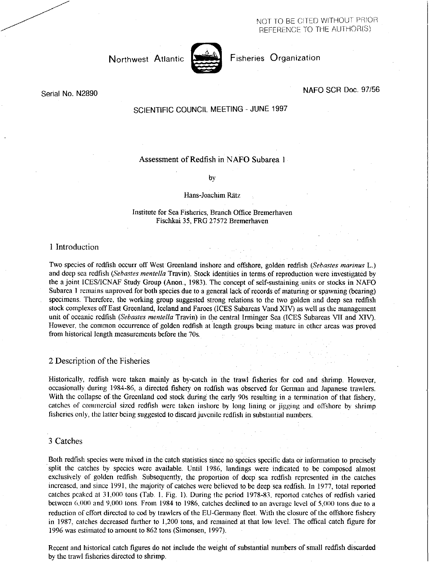NOT TO BE CITED WITHOUT PRIOR REFERENCE TO THE AUTHOR(S)



Northwest Atlantic **Notifiable Fisheries Organization** 

# Serial No. N2890 NAFO SCR Doc. 97/56

# SCIENTIFIC COUNCIL MEETING - JUNE 1997

# Assessment of Redfish in NAFO Subarea 1

by

## Hans-Joachim Rätz

## Institute for Sea Fisheries, Branch Office Bremerhaven Fischkai 35, FRG 27572 Bremerhaven

# 1 Introduction

Two species of redfish occurr off West Greenland inshore and offshore, golden redfish *(Sebastes marinas* L.) and deep sea redfish *(Sebastes mentella* Travin). Stock identities in terms of reproduction were investigated by the a joint ICES/ICNAF Study Group (Anon., 1983). The concept of self-sustaining units or stocks in NAFO Subarea 1 remains unproved for both species due to a general lack of records of maturing or spawning (bearing) specimens. Therefore, the working group suggested strong relations to the two golden and deep sea redfish stock complexes off East Greenland, Iceland and Faroes (ICES Subareas Vand XIV) as well as the management unit of oceanic redfish *(Sebastes mentella* Travin) in the central Irminger Sea (ICES Subareas VII and XIV). However, the common occurrence of golden redfish at length groups being mature in other areas was proved from historical length measurements before the 70s.

# 2 Description of the Fisheries

Historically, redfish were taken mainly as by-catch in the trawl fisheries for cod and shrimp. However, occasionally during 1984-86, a directed fishery on redfish was observed for German and Japanese trawlers. With the collapse of the Greenland cod stock during the early 90s resulting in a termination of that fishery, catches of commercial sized redfish were taken inshore by long lining or jigging and offshore by shrimp fisheries only, the latter being suggested to discard juvenile redfish in substantial numbers.

# 3 Catches

Both redfish species were mixed in the catch statistics since no species specific data or information to precisely split the catches by species were available. Until 1986, landings were indicated to be composed almost exclusively of golden redfish. Subsequently, the proportion of deep sea redfish represented in the catches increased, and since 1991, the majority of catches were believed to be deep sea redfish. In 1977, total reported catches peaked at 31.000 tons (Tab. 1. Fig. 1). During the period 1978-83, reported catches of redfish varied between 6.000 and 9,000 tons. From 1984 to 1986, catches declined to an average level of 5,000 tons due to a reduction of effort directed to cod by trawlers of the EU-Germany fleet. With the closure of the offshore fishery in 1987, catches decreased further to 1,200 tons, and remained at that low level. The offical catch figure for 1996 was estimated to amount to 862 tons (Simonsen, 1997).

Recent and historical catch figures do not include the weight of substantial numbers of small redfish discarded by the trawl fisheries directed to shrimp.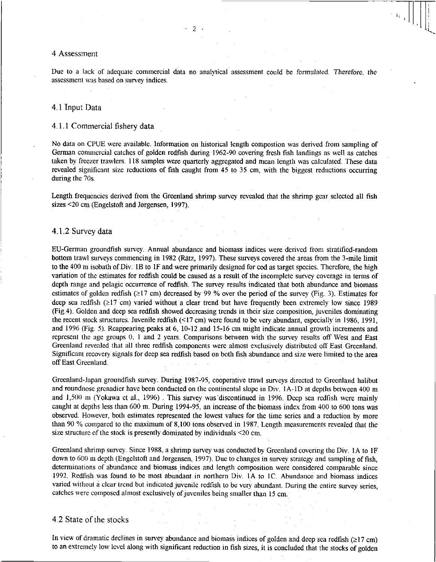#### 4 Assessment

Due to a lack of adequate commercial data no analytical assessment could be formulated. Therefore, the assessment was based on survey indices.

- 2

### 41 Input Data

## 4.1.1 Commercial fishery data

No data on CPUE were available. Information on historical length compostion was derived from sampling of German commercial catches of golden redfish during 1962-90 covering fresh fish landings as well as catches taken by freezer trawlers. 118 samples were quarterly aggregated and mean length was calculated. These data revealed significant size reductions of fish caught from 45 to 35 cm, with the biggest reductions occurring during the 70s.

Length frequencies derived from the Greenland shrimp survey revealed that the shrimp gear selected all fish sizes <20 cm (Engelstoft and Jorgensen, 1997).

## 4.1.2 Survey data

EU-German groundfish survey. Annual abundance and biomass indices were derived from stratified-random bottom trawl surveys commencing in 1982 (Rätz, 1997). These surveys covered the areas from the 3-mile limit to the 400 m isobath of Div. 1B to IF and were primarily designed for cod as target species. Therefore, the high variation of the estimates for redfish could be caused as a result of the incomplete survey coverage in terms of depth range and pelagic occurrence of redfish. The survey results indicated that both abundance and biomass estimates of golden redfish  $(217 \text{ cm})$  decreased by 99 % over the period of the survey (Fig. 3). Estimates for deep sea redfish  $(\geq 17 \text{ cm})$  varied without a clear trend but have frequently been extremely low since 1989 (Fig.4). Golden and deep sea redfish showed decreasing trends in their size composition, juveniles dominating the recent stock structures. Juvenile redfish (<17 cm) were found to be very abundant, especiallyin 1986, 1991, and 1996 (Fig. 5). Reappearing peaks at 6, 10-12 and 15-16 cm might indicate annual growth increments and represent the age groups 0, 1 and 2 years. Comparisons between with the survey results off West and East Greenland revealed that all three redfish components were almost exclusively distributed off East Greenland. Significant recovery signals for deep sea redfish based on both fish abundance and size were limited to the area off East Greenland.

Greenland-Japan groundfish survey. During 1987-95, cooperative trawl surveys directed to Greenland halibut and roundnose grenadier have been conducted on the continental slope in Div. IA-1D at depths between 400 m and 1,500 m (Yokawa et al., 1996) . This survey was 'discontinued in 1996. Deep sea redfish were mainly caught at depths less than 600 m. During 1994-95, an increase of the biomass index from 400 to 600 tons was observed. However, both estimates represented the lowest values for the time series and a reduction by more than 90 % compared to the maximum of 8,100 tons observed in 1987. Length measurements revealed that the size structure of the stock is presently dominated by individuals <20 cm.

Greenland shrimp survey. Since 1988, a shrimp survey was conducted by Greenland covering the Div. IA to 1F down to 600 m depth (Engelstoft and Jorgensen, 1997). Due to changes in survey strategy and sampling of fish, determinations of abundance and biomass indices and length composition were considered comparable since 1992. Redfish was found to be most abundant in northern Div. IA to IC. Abundance and biomass indices varied without a clear trend but indicated juvenile redfish to be very abundant. During the entire survey series, catches were composed almost exclusively of juveniles being smaller than 15 cm.

# 4.2 State of the stocks

In view of dramatic declines in survey abundance and biomass indices of golden and deep sea redfish ( $\geq$ 17 cm) to an extremely low level along with significant reduction in fish sizes, it is concluded that the stocks of golden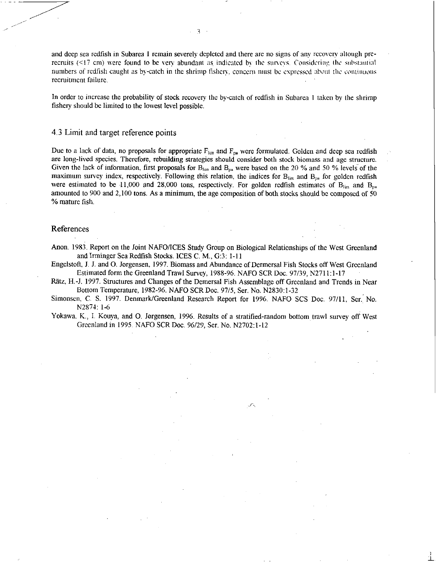and deep sea redfish in Subarea 1 remain severely depleted and there are no signs of any recovery altough prerecruits  $(\leq 17 \text{ cm})$  were found to be very abundant as indicated by the surveys. Considering the substantial numbers of redfish caught as by-catch in the shrimp fishery, concern must be expressed about the continuous recruitment failure.

In order to increase the probability of stock recovery the by-catch of redfish in Subarea I taken by the shrimp fishery should be limited to the lowest level possible.

### 4.3 Limit and target reference points

Due to a lack of data, no proposals for appropriate  $F_{lin}$  and  $F_{pa}$  were formulated. Golden and deep sea redfish are long-lived species. Therefore, rebuilding strategies should consider both stock biomass and age structure. Given the lack of information, first proposals for  $B_{lin}$  and  $B_{pa}$  were based on the 20 % and 50 % levels of the maximum survey index, respectively. Following this relation, the indices for  $B_{lim}$  and  $B_{pa}$  for golden redfish were estimated to be 11,000 and 28,000 tons, respectively. For golden redfish estimates of  $B_{lin}$  and  $B_{pa}$ amounted to 900 and 2,100 tons. As a minimum, the age composition of both stocks should be composed of 50 % mature fish.

## References

Anon. 1983. Report on the Joint NAFO/ICES Study Group on Biological Relationships of the West Greenland and Irminger Sea Redfish Stocks. ICES C. M., G:3: 1-11

Engelstoft, J. J. and 0. Jorgensen, 1997. Biomass and Abundance of Dermersal Fish Stocks off West Greenland Estimated form the Greenland Trawl Survey, 1988-96. NAFO SCR Doc. 97/39, N2711:1-17

Ratz, H.-J. 1997. Structures and Changes of the Demersal Fish Assemblage off Greenland and Trends in Near Bottom Temperature, 1982-96. NAFO SCR Doc. 97/5, Ser. No. N2830:1-32

Simonsen, C. S. 1997. Denmark/Greenland Research Report for 1996. NAFO SCS Doc. 97/11, Ser. No. N2874: 1-6

Yokawa, K., I. Kouya, and O. Jørgensen, 1996. Results of a stratified-random bottom trawl survey off West Greenland in 1995. NAFO SCR Doc. 96/29, Ser. No. N2702:1.12

:1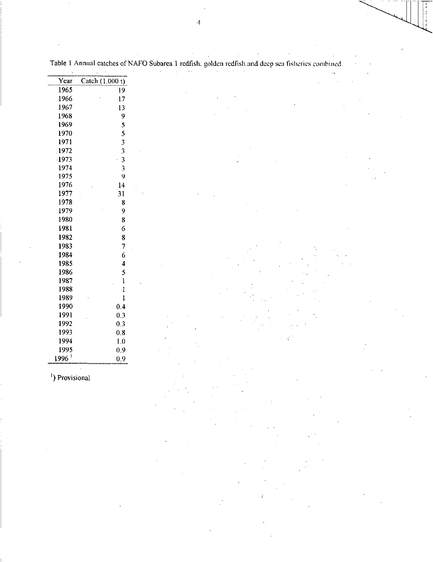| Year                       |                         |                                                                                                                                                                                                                                                                                                                                                                                                                                                                                                                                              |
|----------------------------|-------------------------|----------------------------------------------------------------------------------------------------------------------------------------------------------------------------------------------------------------------------------------------------------------------------------------------------------------------------------------------------------------------------------------------------------------------------------------------------------------------------------------------------------------------------------------------|
|                            | Catch (1.000 t)         |                                                                                                                                                                                                                                                                                                                                                                                                                                                                                                                                              |
| 1965                       | 19                      |                                                                                                                                                                                                                                                                                                                                                                                                                                                                                                                                              |
| 1966                       | 17                      |                                                                                                                                                                                                                                                                                                                                                                                                                                                                                                                                              |
| 1967                       | 13                      |                                                                                                                                                                                                                                                                                                                                                                                                                                                                                                                                              |
| 1968                       | 9                       |                                                                                                                                                                                                                                                                                                                                                                                                                                                                                                                                              |
| 1969                       | 5                       |                                                                                                                                                                                                                                                                                                                                                                                                                                                                                                                                              |
| 1970                       | 5                       |                                                                                                                                                                                                                                                                                                                                                                                                                                                                                                                                              |
| 1971                       | 3                       |                                                                                                                                                                                                                                                                                                                                                                                                                                                                                                                                              |
| 1972                       | 3                       |                                                                                                                                                                                                                                                                                                                                                                                                                                                                                                                                              |
| 1973                       |                         |                                                                                                                                                                                                                                                                                                                                                                                                                                                                                                                                              |
|                            | $\mathfrak z$           |                                                                                                                                                                                                                                                                                                                                                                                                                                                                                                                                              |
| 1974                       | 3                       |                                                                                                                                                                                                                                                                                                                                                                                                                                                                                                                                              |
| 1975                       | 9                       |                                                                                                                                                                                                                                                                                                                                                                                                                                                                                                                                              |
| 1976                       | 14                      |                                                                                                                                                                                                                                                                                                                                                                                                                                                                                                                                              |
| 1977                       | 31                      |                                                                                                                                                                                                                                                                                                                                                                                                                                                                                                                                              |
| 1978                       | 8                       |                                                                                                                                                                                                                                                                                                                                                                                                                                                                                                                                              |
| 1979                       | 9                       |                                                                                                                                                                                                                                                                                                                                                                                                                                                                                                                                              |
| 1980                       | 8                       |                                                                                                                                                                                                                                                                                                                                                                                                                                                                                                                                              |
| 1981                       | 6                       |                                                                                                                                                                                                                                                                                                                                                                                                                                                                                                                                              |
| 1982                       | 8                       |                                                                                                                                                                                                                                                                                                                                                                                                                                                                                                                                              |
| 1983                       | $\overline{7}$          |                                                                                                                                                                                                                                                                                                                                                                                                                                                                                                                                              |
|                            |                         |                                                                                                                                                                                                                                                                                                                                                                                                                                                                                                                                              |
| 1984                       | $\boldsymbol{6}$        |                                                                                                                                                                                                                                                                                                                                                                                                                                                                                                                                              |
| 1985                       | 4                       |                                                                                                                                                                                                                                                                                                                                                                                                                                                                                                                                              |
| 1986                       | 5                       |                                                                                                                                                                                                                                                                                                                                                                                                                                                                                                                                              |
| 1987                       |                         |                                                                                                                                                                                                                                                                                                                                                                                                                                                                                                                                              |
| 1988                       | I                       |                                                                                                                                                                                                                                                                                                                                                                                                                                                                                                                                              |
| 1989                       | $\mathbf{l}$            |                                                                                                                                                                                                                                                                                                                                                                                                                                                                                                                                              |
| 1990                       | 0.4                     |                                                                                                                                                                                                                                                                                                                                                                                                                                                                                                                                              |
| 1991                       | 0.3                     |                                                                                                                                                                                                                                                                                                                                                                                                                                                                                                                                              |
| 1992                       | 0.3                     |                                                                                                                                                                                                                                                                                                                                                                                                                                                                                                                                              |
| 1993                       |                         |                                                                                                                                                                                                                                                                                                                                                                                                                                                                                                                                              |
|                            | $0.8\,$                 |                                                                                                                                                                                                                                                                                                                                                                                                                                                                                                                                              |
| 1994                       | $1.0\,$                 |                                                                                                                                                                                                                                                                                                                                                                                                                                                                                                                                              |
| 1995                       | 0.9                     |                                                                                                                                                                                                                                                                                                                                                                                                                                                                                                                                              |
| 1996 <sup>1</sup>          | 0.9                     |                                                                                                                                                                                                                                                                                                                                                                                                                                                                                                                                              |
|                            |                         |                                                                                                                                                                                                                                                                                                                                                                                                                                                                                                                                              |
| <sup>1</sup> ) Provisional |                         |                                                                                                                                                                                                                                                                                                                                                                                                                                                                                                                                              |
|                            |                         |                                                                                                                                                                                                                                                                                                                                                                                                                                                                                                                                              |
|                            |                         |                                                                                                                                                                                                                                                                                                                                                                                                                                                                                                                                              |
|                            |                         |                                                                                                                                                                                                                                                                                                                                                                                                                                                                                                                                              |
|                            |                         |                                                                                                                                                                                                                                                                                                                                                                                                                                                                                                                                              |
|                            |                         |                                                                                                                                                                                                                                                                                                                                                                                                                                                                                                                                              |
|                            |                         | $\label{eq:2} \frac{1}{\sqrt{2}}\sum_{i=1}^n\frac{1}{\sqrt{2}}\left(\frac{1}{\sqrt{2}}\right)^2\left(\frac{1}{\sqrt{2}}\right)^2\left(\frac{1}{\sqrt{2}}\right)^2.$                                                                                                                                                                                                                                                                                                                                                                          |
|                            |                         | $\label{eq:2.1} \frac{1}{\sqrt{2}}\left(\frac{1}{\sqrt{2}}\right)^{2} \left(\frac{1}{\sqrt{2}}\right)^{2} \left(\frac{1}{\sqrt{2}}\right)^{2} \left(\frac{1}{\sqrt{2}}\right)^{2} \left(\frac{1}{\sqrt{2}}\right)^{2} \left(\frac{1}{\sqrt{2}}\right)^{2} \left(\frac{1}{\sqrt{2}}\right)^{2} \left(\frac{1}{\sqrt{2}}\right)^{2} \left(\frac{1}{\sqrt{2}}\right)^{2} \left(\frac{1}{\sqrt{2}}\right)^{2} \left(\frac{1}{\sqrt{2}}\right)^{2} \left(\$                                                                                       |
|                            |                         | $\label{eq:2.1} \mathcal{L}(\mathcal{L}^{\text{max}}_{\mathcal{L}}(\mathcal{L}^{\text{max}}_{\mathcal{L}})) \leq \mathcal{L}(\mathcal{L}^{\text{max}}_{\mathcal{L}}(\mathcal{L}^{\text{max}}_{\mathcal{L}}))$                                                                                                                                                                                                                                                                                                                                |
|                            |                         |                                                                                                                                                                                                                                                                                                                                                                                                                                                                                                                                              |
|                            |                         | $\mathcal{L}(\mathcal{A})$ and $\mathcal{L}(\mathcal{A})$<br>$\mathcal{L}^{\text{max}}_{\text{max}}$ and $\mathcal{L}^{\text{max}}_{\text{max}}$                                                                                                                                                                                                                                                                                                                                                                                             |
|                            |                         |                                                                                                                                                                                                                                                                                                                                                                                                                                                                                                                                              |
|                            |                         | $\label{eq:2.1} \frac{1}{\sqrt{2}}\int_{0}^{\infty}\frac{1}{\sqrt{2\pi}}\left(\frac{1}{\sqrt{2\pi}}\right)^{2\alpha} \frac{1}{\sqrt{2\pi}}\int_{0}^{\infty}\frac{1}{\sqrt{2\pi}}\left(\frac{1}{\sqrt{2\pi}}\right)^{\alpha} \frac{1}{\sqrt{2\pi}}\frac{1}{\sqrt{2\pi}}\int_{0}^{\infty}\frac{1}{\sqrt{2\pi}}\frac{1}{\sqrt{2\pi}}\frac{1}{\sqrt{2\pi}}\frac{1}{\sqrt{2\pi}}\frac{1}{\sqrt{2\pi}}\frac{1}{\sqrt{2\pi}}$                                                                                                                       |
|                            |                         |                                                                                                                                                                                                                                                                                                                                                                                                                                                                                                                                              |
|                            |                         |                                                                                                                                                                                                                                                                                                                                                                                                                                                                                                                                              |
|                            |                         | $\mathcal{L}^{\mathcal{L}}(\mathcal{L}^{\mathcal{L}})$ and $\mathcal{L}^{\mathcal{L}}(\mathcal{L}^{\mathcal{L}})$ and $\mathcal{L}^{\mathcal{L}}(\mathcal{L}^{\mathcal{L}})$<br>$\label{eq:2.1} \frac{1}{\sqrt{2\pi}}\sum_{i=1}^n\frac{1}{\sqrt{2\pi}}\sum_{i=1}^n\frac{1}{\sqrt{2\pi}}\sum_{i=1}^n\frac{1}{\sqrt{2\pi}}\sum_{i=1}^n\frac{1}{\sqrt{2\pi}}\sum_{i=1}^n\frac{1}{\sqrt{2\pi}}\sum_{i=1}^n\frac{1}{\sqrt{2\pi}}\sum_{i=1}^n\frac{1}{\sqrt{2\pi}}\sum_{i=1}^n\frac{1}{\sqrt{2\pi}}\sum_{i=1}^n\frac{1}{\sqrt{2\pi}}\sum_{i=1}^n\$ |
|                            | $\sim 100$ km s $^{-1}$ | $\sim 100$ km s $^{-1}$                                                                                                                                                                                                                                                                                                                                                                                                                                                                                                                      |
|                            |                         |                                                                                                                                                                                                                                                                                                                                                                                                                                                                                                                                              |
|                            |                         |                                                                                                                                                                                                                                                                                                                                                                                                                                                                                                                                              |
|                            |                         |                                                                                                                                                                                                                                                                                                                                                                                                                                                                                                                                              |

 $\ddot{\phantom{a}}$ 

 $\mathcal{A}^{\mathcal{A}}$ Table 1 Annual catches of NAFO Subarea 1 redfish. golden redfish and deep sea fisheries combined.

 $\sim$ 

 $\sim$ 

 $\boldsymbol{\beta}$ 

 $\mathbf{r}$ 

 $\ddot{\phantom{a}}$ 

 $\mathcal{A}$ 

 $\sim 10^7$ 

 $\sim$ 

 $\mathcal{A}^{\mathcal{A}}$ 

----

 $\frac{1}{\sqrt{2}}$ 

 $\sqrt{2}$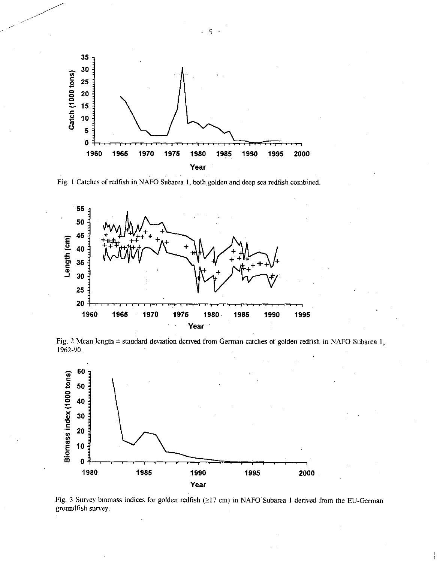

Fig. 1 Catches of redfish in NAFO Subarea 1, both golden and deep sea redfish combined.



Fig. 2 Mean length ± standard deviation derived from German catches of golden redfish in NAFO Subarea 1,



Fig. 3 Survey biomass indices for golden redfish ( $\geq$ 17 cm) in NAFO Subarea 1 derived from the EU-German groundfish survey.